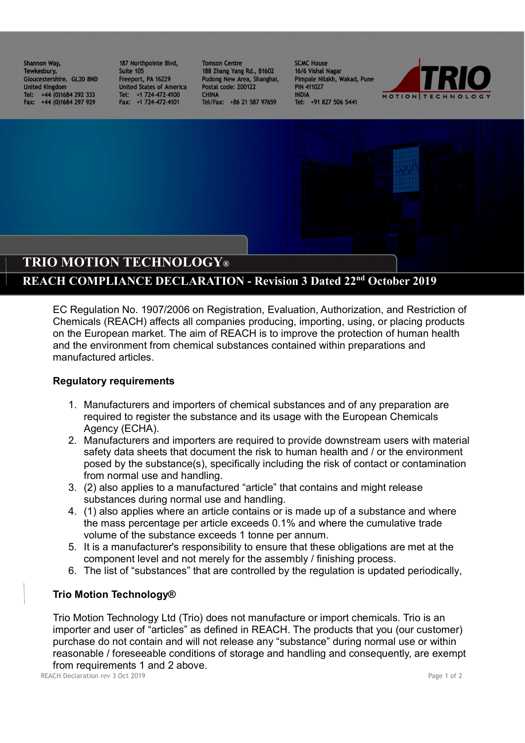Shannon Way, 187 Northpointe Blvd,<br>Tewkesbury, 187 Suite 105 Gloucestershire. GL20 8ND **United Kingdom** Tel: +44 (0)1684 292 333 Fax: +44 (0)1684 297 929

Freeport, PA 16229 **United States of America** Tel: +1 724-472-4100<br>Fax: +1 724-472-4101

**Tomson Centre** 188 Zhang Yang Rd., B1602 Pudong New Area, Shanghai, Postal code: 200122 **CHINA** Tel/Fax: +86 21 587 97659

**SCMC House** 16/6 Vishal Nagar Pimpale Nilakh, Wakad, Pune **PIN 411027 INDIA** Tel: +91 827 506 5441



## TRIO MOTION TECHNOLOGY®

## REACH COMPLIANCE DECLARATION - Revision 3 Dated 22nd October 2019

EC Regulation No. 1907/2006 on Registration, Evaluation, Authorization, and Restriction of Chemicals (REACH) affects all companies producing, importing, using, or placing products on the European market. The aim of REACH is to improve the protection of human health and the environment from chemical substances contained within preparations and manufactured articles.

## Regulatory requirements

- 1. Manufacturers and importers of chemical substances and of any preparation are required to register the substance and its usage with the European Chemicals Agency (ECHA).
- 2. Manufacturers and importers are required to provide downstream users with material safety data sheets that document the risk to human health and / or the environment posed by the substance(s), specifically including the risk of contact or contamination from normal use and handling.
- 3. (2) also applies to a manufactured "article" that contains and might release substances during normal use and handling.
- 4. (1) also applies where an article contains or is made up of a substance and where the mass percentage per article exceeds 0.1% and where the cumulative trade volume of the substance exceeds 1 tonne per annum.
- 5. It is a manufacturer's responsibility to ensure that these obligations are met at the component level and not merely for the assembly / finishing process.
- 6. The list of "substances" that are controlled by the regulation is updated periodically,

## Trio Motion Technology®

Trio Motion Technology Ltd (Trio) does not manufacture or import chemicals. Trio is an importer and user of "articles" as defined in REACH. The products that you (our customer) purchase do not contain and will not release any "substance" during normal use or within reasonable / foreseeable conditions of storage and handling and consequently, are exempt from requirements 1 and 2 above.